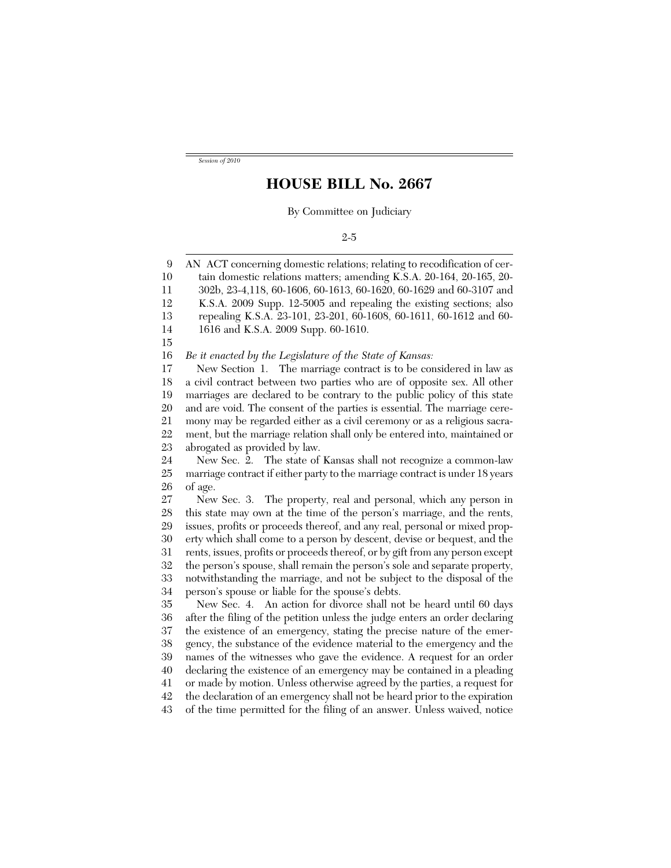*Session of 2010*

## **HOUSE BILL No. 2667**

By Committee on Judiciary

|  | ۰.<br>۰. |
|--|----------|
|--|----------|

9 10 11 12 13 14 15 16 17 18 19 20 21 22 23 24 25 26 27 28 29 30 31 32 33 34 35 36 37 38 39 40 41 42 AN ACT concerning domestic relations; relating to recodification of certain domestic relations matters; amending K.S.A. 20-164, 20-165, 20- 302b, 23-4,118, 60-1606, 60-1613, 60-1620, 60-1629 and 60-3107 and K.S.A. 2009 Supp. 12-5005 and repealing the existing sections; also repealing K.S.A. 23-101, 23-201, 60-1608, 60-1611, 60-1612 and 60- 1616 and K.S.A. 2009 Supp. 60-1610. *Be it enacted by the Legislature of the State of Kansas:* New Section 1. The marriage contract is to be considered in law as a civil contract between two parties who are of opposite sex. All other marriages are declared to be contrary to the public policy of this state and are void. The consent of the parties is essential. The marriage ceremony may be regarded either as a civil ceremony or as a religious sacrament, but the marriage relation shall only be entered into, maintained or abrogated as provided by law. New Sec. 2. The state of Kansas shall not recognize a common-law marriage contract if either party to the marriage contract is under 18 years of age. New Sec. 3. The property, real and personal, which any person in this state may own at the time of the person's marriage, and the rents, issues, profits or proceeds thereof, and any real, personal or mixed property which shall come to a person by descent, devise or bequest, and the rents, issues, profits or proceeds thereof, or by gift from any person except the person's spouse, shall remain the person's sole and separate property, notwithstanding the marriage, and not be subject to the disposal of the person's spouse or liable for the spouse's debts. New Sec. 4. An action for divorce shall not be heard until 60 days after the filing of the petition unless the judge enters an order declaring the existence of an emergency, stating the precise nature of the emergency, the substance of the evidence material to the emergency and the names of the witnesses who gave the evidence. A request for an order declaring the existence of an emergency may be contained in a pleading or made by motion. Unless otherwise agreed by the parties, a request for the declaration of an emergency shall not be heard prior to the expiration

43 of the time permitted for the filing of an answer. Unless waived, notice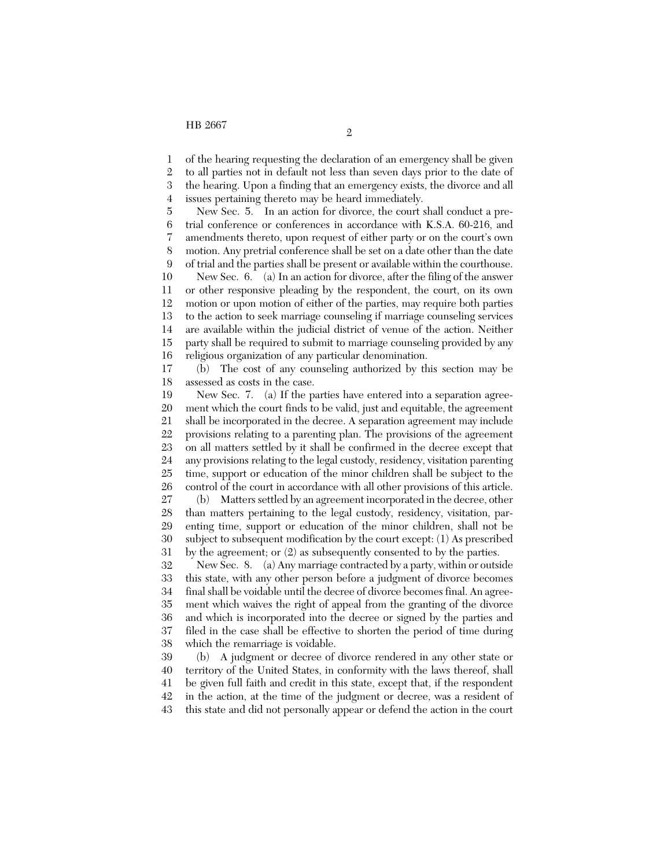1 of the hearing requesting the declaration of an emergency shall be given

2 3 4 to all parties not in default not less than seven days prior to the date of the hearing. Upon a finding that an emergency exists, the divorce and all issues pertaining thereto may be heard immediately.

5 6 7 8 9 New Sec. 5. In an action for divorce, the court shall conduct a pretrial conference or conferences in accordance with K.S.A. 60-216, and amendments thereto, upon request of either party or on the court's own motion. Any pretrial conference shall be set on a date other than the date of trial and the parties shall be present or available within the courthouse.

10 11 12 13 14 15 16 New Sec. 6. (a) In an action for divorce, after the filing of the answer or other responsive pleading by the respondent, the court, on its own motion or upon motion of either of the parties, may require both parties to the action to seek marriage counseling if marriage counseling services are available within the judicial district of venue of the action. Neither party shall be required to submit to marriage counseling provided by any religious organization of any particular denomination.

17 18 (b) The cost of any counseling authorized by this section may be assessed as costs in the case.

19 20 21 22 23 24 25 26 27 New Sec. 7. (a) If the parties have entered into a separation agreement which the court finds to be valid, just and equitable, the agreement shall be incorporated in the decree. A separation agreement may include provisions relating to a parenting plan. The provisions of the agreement on all matters settled by it shall be confirmed in the decree except that any provisions relating to the legal custody, residency, visitation parenting time, support or education of the minor children shall be subject to the control of the court in accordance with all other provisions of this article. (b) Matters settled by an agreement incorporated in the decree, other

28 29 30 31 than matters pertaining to the legal custody, residency, visitation, parenting time, support or education of the minor children, shall not be subject to subsequent modification by the court except: (1) As prescribed by the agreement; or (2) as subsequently consented to by the parties.

32 33 34 35 36 37 38 New Sec. 8. (a) Any marriage contracted by a party, within or outside this state, with any other person before a judgment of divorce becomes final shall be voidable until the decree of divorce becomes final. An agreement which waives the right of appeal from the granting of the divorce and which is incorporated into the decree or signed by the parties and filed in the case shall be effective to shorten the period of time during which the remarriage is voidable.

39 40 41 42 43 (b) A judgment or decree of divorce rendered in any other state or territory of the United States, in conformity with the laws thereof, shall be given full faith and credit in this state, except that, if the respondent in the action, at the time of the judgment or decree, was a resident of this state and did not personally appear or defend the action in the court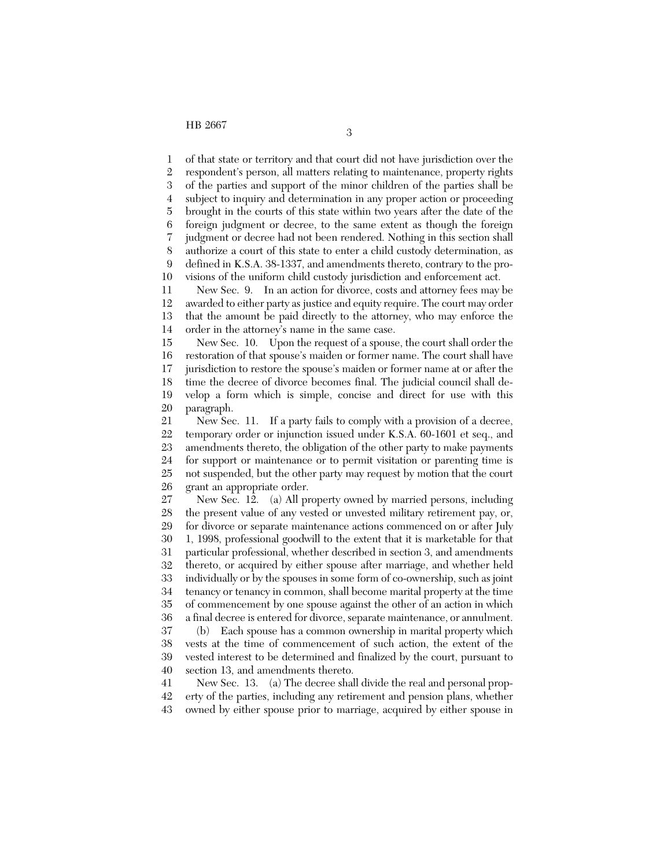1 2 3 4 5 6 7 8 9 10 11 12 13 14 of that state or territory and that court did not have jurisdiction over the respondent's person, all matters relating to maintenance, property rights of the parties and support of the minor children of the parties shall be subject to inquiry and determination in any proper action or proceeding brought in the courts of this state within two years after the date of the foreign judgment or decree, to the same extent as though the foreign judgment or decree had not been rendered. Nothing in this section shall authorize a court of this state to enter a child custody determination, as defined in K.S.A. 38-1337, and amendments thereto, contrary to the provisions of the uniform child custody jurisdiction and enforcement act. New Sec. 9. In an action for divorce, costs and attorney fees may be awarded to either party as justice and equity require. The court may order that the amount be paid directly to the attorney, who may enforce the order in the attorney's name in the same case.

15 16 17 18 19 20 New Sec. 10. Upon the request of a spouse, the court shall order the restoration of that spouse's maiden or former name. The court shall have jurisdiction to restore the spouse's maiden or former name at or after the time the decree of divorce becomes final. The judicial council shall develop a form which is simple, concise and direct for use with this paragraph.

21 22 23 24 25 26 New Sec. 11. If a party fails to comply with a provision of a decree, temporary order or injunction issued under K.S.A. 60-1601 et seq., and amendments thereto, the obligation of the other party to make payments for support or maintenance or to permit visitation or parenting time is not suspended, but the other party may request by motion that the court grant an appropriate order.

27 28 29 30 31 32 33 34 35 36 37 38 New Sec. 12. (a) All property owned by married persons, including the present value of any vested or unvested military retirement pay, or, for divorce or separate maintenance actions commenced on or after July 1, 1998, professional goodwill to the extent that it is marketable for that particular professional, whether described in section 3, and amendments thereto, or acquired by either spouse after marriage, and whether held individually or by the spouses in some form of co-ownership, such as joint tenancy or tenancy in common, shall become marital property at the time of commencement by one spouse against the other of an action in which a final decree is entered for divorce, separate maintenance, or annulment. (b) Each spouse has a common ownership in marital property which vests at the time of commencement of such action, the extent of the

39 40 vested interest to be determined and finalized by the court, pursuant to section 13, and amendments thereto.

41 42 43 New Sec. 13. (a) The decree shall divide the real and personal property of the parties, including any retirement and pension plans, whether owned by either spouse prior to marriage, acquired by either spouse in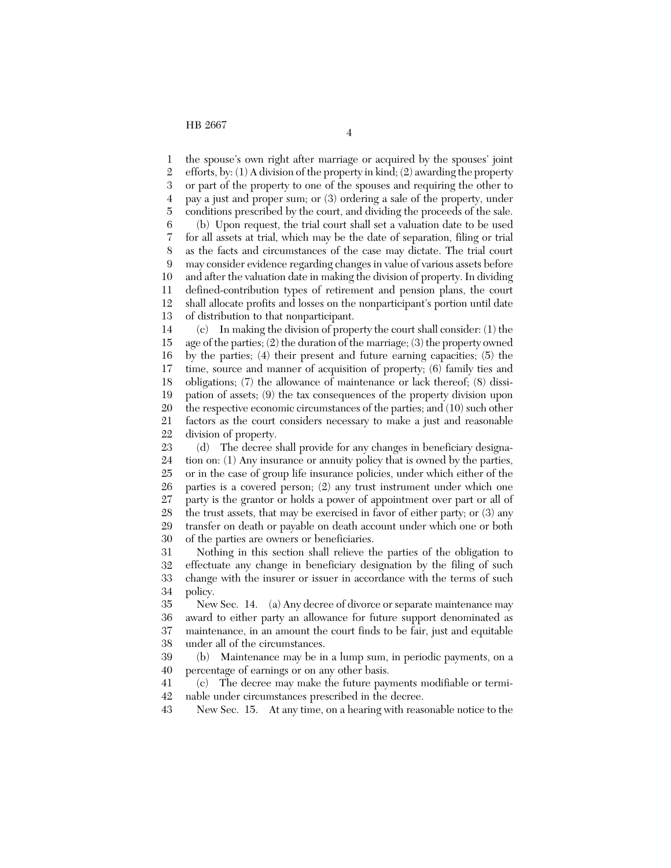1 2 3 4 5 6 the spouse's own right after marriage or acquired by the spouses' joint efforts, by: (1) A division of the property in kind; (2) awarding the property or part of the property to one of the spouses and requiring the other to pay a just and proper sum; or (3) ordering a sale of the property, under conditions prescribed by the court, and dividing the proceeds of the sale. (b) Upon request, the trial court shall set a valuation date to be used

7 8 9 10 11 12 13 for all assets at trial, which may be the date of separation, filing or trial as the facts and circumstances of the case may dictate. The trial court may consider evidence regarding changes in value of various assets before and after the valuation date in making the division of property. In dividing defined-contribution types of retirement and pension plans, the court shall allocate profits and losses on the nonparticipant's portion until date of distribution to that nonparticipant.

14 15 16 17 18 19 20 21 22 (c) In making the division of property the court shall consider: (1) the age of the parties; (2) the duration of the marriage; (3) the property owned by the parties; (4) their present and future earning capacities; (5) the time, source and manner of acquisition of property; (6) family ties and obligations; (7) the allowance of maintenance or lack thereof; (8) dissipation of assets; (9) the tax consequences of the property division upon the respective economic circumstances of the parties; and (10) such other factors as the court considers necessary to make a just and reasonable division of property.

23 24 25 26 27 28 29 30 (d) The decree shall provide for any changes in beneficiary designation on: (1) Any insurance or annuity policy that is owned by the parties, or in the case of group life insurance policies, under which either of the parties is a covered person; (2) any trust instrument under which one party is the grantor or holds a power of appointment over part or all of the trust assets, that may be exercised in favor of either party; or (3) any transfer on death or payable on death account under which one or both of the parties are owners or beneficiaries.

31 32 33 34 Nothing in this section shall relieve the parties of the obligation to effectuate any change in beneficiary designation by the filing of such change with the insurer or issuer in accordance with the terms of such policy.

35 36 37 38 New Sec. 14. (a) Any decree of divorce or separate maintenance may award to either party an allowance for future support denominated as maintenance, in an amount the court finds to be fair, just and equitable under all of the circumstances.

39 40 (b) Maintenance may be in a lump sum, in periodic payments, on a percentage of earnings or on any other basis.

41 42 (c) The decree may make the future payments modifiable or terminable under circumstances prescribed in the decree.

43 New Sec. 15. At any time, on a hearing with reasonable notice to the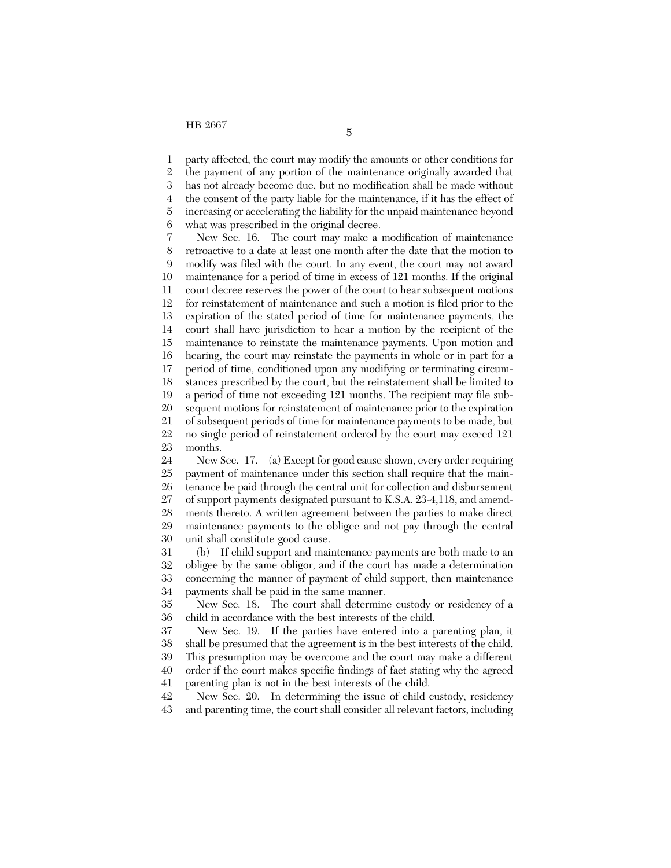1 2 3 4 5 6 party affected, the court may modify the amounts or other conditions for the payment of any portion of the maintenance originally awarded that has not already become due, but no modification shall be made without the consent of the party liable for the maintenance, if it has the effect of increasing or accelerating the liability for the unpaid maintenance beyond what was prescribed in the original decree.

7 8 9 10 11 12 13 14 15 16 17 18 19 20 21 22 23 New Sec. 16. The court may make a modification of maintenance retroactive to a date at least one month after the date that the motion to modify was filed with the court. In any event, the court may not award maintenance for a period of time in excess of 121 months. If the original court decree reserves the power of the court to hear subsequent motions for reinstatement of maintenance and such a motion is filed prior to the expiration of the stated period of time for maintenance payments, the court shall have jurisdiction to hear a motion by the recipient of the maintenance to reinstate the maintenance payments. Upon motion and hearing, the court may reinstate the payments in whole or in part for a period of time, conditioned upon any modifying or terminating circumstances prescribed by the court, but the reinstatement shall be limited to a period of time not exceeding 121 months. The recipient may file subsequent motions for reinstatement of maintenance prior to the expiration of subsequent periods of time for maintenance payments to be made, but no single period of reinstatement ordered by the court may exceed 121 months.

24 25 26 27 28 29 30 New Sec. 17. (a) Except for good cause shown, every order requiring payment of maintenance under this section shall require that the maintenance be paid through the central unit for collection and disbursement of support payments designated pursuant to K.S.A. 23-4,118, and amendments thereto. A written agreement between the parties to make direct maintenance payments to the obligee and not pay through the central unit shall constitute good cause.

31 32 33 34 (b) If child support and maintenance payments are both made to an obligee by the same obligor, and if the court has made a determination concerning the manner of payment of child support, then maintenance payments shall be paid in the same manner.

35 36 New Sec. 18. The court shall determine custody or residency of a child in accordance with the best interests of the child.

37 38 39 40 41 New Sec. 19. If the parties have entered into a parenting plan, it shall be presumed that the agreement is in the best interests of the child. This presumption may be overcome and the court may make a different order if the court makes specific findings of fact stating why the agreed parenting plan is not in the best interests of the child.

42 43 New Sec. 20. In determining the issue of child custody, residency and parenting time, the court shall consider all relevant factors, including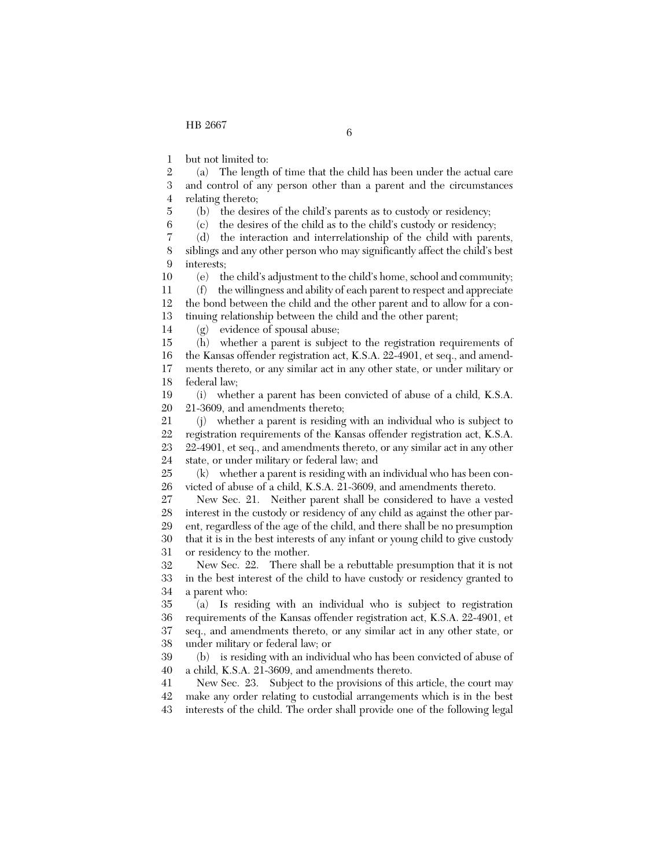5 6

1 but not limited to:

2 3 4 (a) The length of time that the child has been under the actual care and control of any person other than a parent and the circumstances relating thereto;

(b) the desires of the child's parents as to custody or residency;

(c) the desires of the child as to the child's custody or residency;

7 8 9 (d) the interaction and interrelationship of the child with parents, siblings and any other person who may significantly affect the child's best interests;

10 11 12 (e) the child's adjustment to the child's home, school and community; (f) the willingness and ability of each parent to respect and appreciate the bond between the child and the other parent and to allow for a con-

13 tinuing relationship between the child and the other parent;

14 (g) evidence of spousal abuse;

15 16 17 18 (h) whether a parent is subject to the registration requirements of the Kansas offender registration act, K.S.A. 22-4901, et seq., and amendments thereto, or any similar act in any other state, or under military or federal law;

19 20 (i) whether a parent has been convicted of abuse of a child, K.S.A. 21-3609, and amendments thereto;

21 22 (j) whether a parent is residing with an individual who is subject to registration requirements of the Kansas offender registration act, K.S.A.

23 24 22-4901, et seq., and amendments thereto, or any similar act in any other state, or under military or federal law; and

25 26 (k) whether a parent is residing with an individual who has been convicted of abuse of a child, K.S.A. 21-3609, and amendments thereto.

27 28 29 30 31 New Sec. 21. Neither parent shall be considered to have a vested interest in the custody or residency of any child as against the other parent, regardless of the age of the child, and there shall be no presumption that it is in the best interests of any infant or young child to give custody or residency to the mother.

32 33 34 New Sec. 22. There shall be a rebuttable presumption that it is not in the best interest of the child to have custody or residency granted to a parent who:

35 36 37 38 (a) Is residing with an individual who is subject to registration requirements of the Kansas offender registration act, K.S.A. 22-4901, et seq., and amendments thereto, or any similar act in any other state, or under military or federal law; or

39 40 (b) is residing with an individual who has been convicted of abuse of a child, K.S.A. 21-3609, and amendments thereto.

41 42 43 New Sec. 23. Subject to the provisions of this article, the court may make any order relating to custodial arrangements which is in the best interests of the child. The order shall provide one of the following legal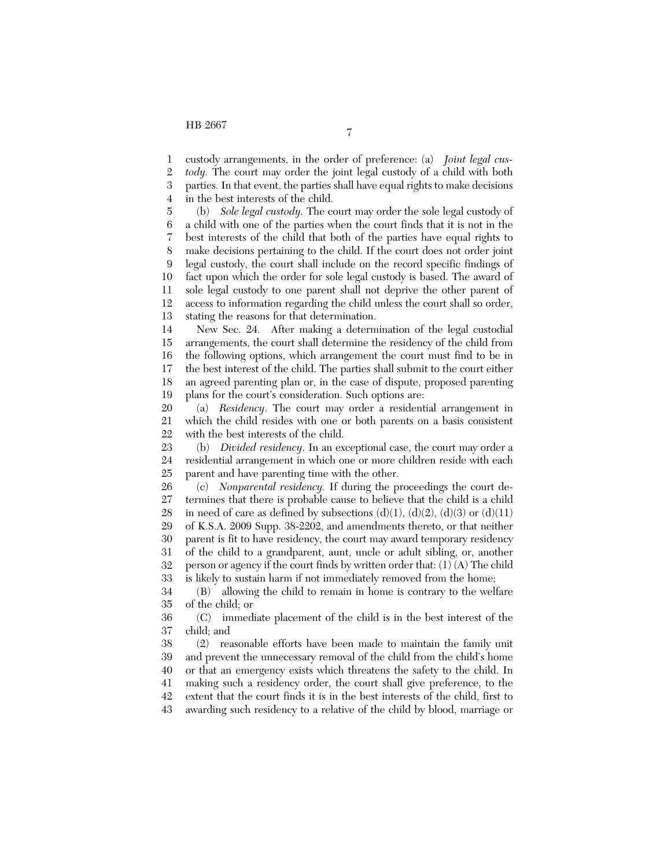1 custody arrangements, in the order of preference: (a) *Joint legal cus-*

2 3 4 *tody.* The court may order the joint legal custody of a child with both parties. In that event, the parties shall have equal rights to make decisions in the best interests of the child.

5 6 7 8 9 10 11 12 13 (b) *Sole legal custody.* The court may order the sole legal custody of a child with one of the parties when the court finds that it is not in the best interests of the child that both of the parties have equal rights to make decisions pertaining to the child. If the court does not order joint legal custody, the court shall include on the record specific findings of fact upon which the order for sole legal custody is based. The award of sole legal custody to one parent shall not deprive the other parent of access to information regarding the child unless the court shall so order, stating the reasons for that determination.

14 15 16 17 18 19 New Sec. 24. After making a determination of the legal custodial arrangements, the court shall determine the residency of the child from the following options, which arrangement the court must find to be in the best interest of the child. The parties shall submit to the court either an agreed parenting plan or, in the case of dispute, proposed parenting plans for the court's consideration. Such options are:

20 21 22 (a) *Residency*. The court may order a residential arrangement in which the child resides with one or both parents on a basis consistent with the best interests of the child.

23 24 25 (b) *Divided residency*. In an exceptional case, the court may order a residential arrangement in which one or more children reside with each parent and have parenting time with the other.

26 27 28 29 30 31 32 33 (c) *Nonparental residency.* If during the proceedings the court determines that there is probable cause to believe that the child is a child in need of care as defined by subsections  $(d)(1)$ ,  $(d)(2)$ ,  $(d)(3)$  or  $(d)(11)$ of K.S.A. 2009 Supp. 38-2202, and amendments thereto, or that neither parent is fit to have residency, the court may award temporary residency of the child to a grandparent, aunt, uncle or adult sibling, or, another person or agency if the court finds by written order that: (1) (A) The child is likely to sustain harm if not immediately removed from the home;

34 35 (B) allowing the child to remain in home is contrary to the welfare of the child; or

36 37 (C) immediate placement of the child is in the best interest of the child; and

38 39 40 41 42 43 (2) reasonable efforts have been made to maintain the family unit and prevent the unnecessary removal of the child from the child's home or that an emergency exists which threatens the safety to the child. In making such a residency order, the court shall give preference, to the extent that the court finds it is in the best interests of the child, first to awarding such residency to a relative of the child by blood, marriage or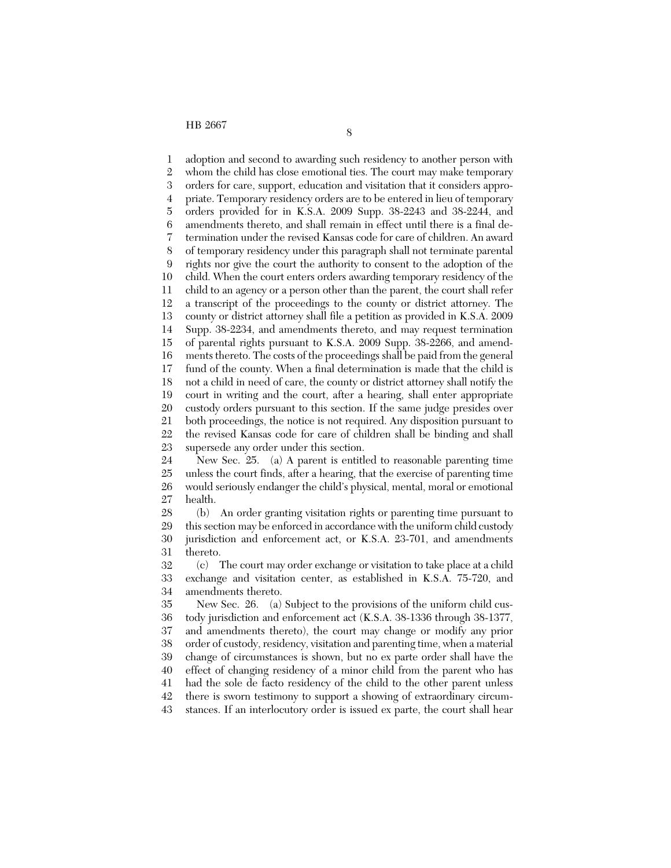1 2 3 4 5 6 7 8 9 10 11 12 13 14 15 16 17 18 19 20 21 22 23 adoption and second to awarding such residency to another person with whom the child has close emotional ties. The court may make temporary orders for care, support, education and visitation that it considers appropriate. Temporary residency orders are to be entered in lieu of temporary orders provided for in K.S.A. 2009 Supp. 38-2243 and 38-2244, and amendments thereto, and shall remain in effect until there is a final determination under the revised Kansas code for care of children. An award of temporary residency under this paragraph shall not terminate parental rights nor give the court the authority to consent to the adoption of the child. When the court enters orders awarding temporary residency of the child to an agency or a person other than the parent, the court shall refer a transcript of the proceedings to the county or district attorney. The county or district attorney shall file a petition as provided in K.S.A. 2009 Supp. 38-2234, and amendments thereto, and may request termination of parental rights pursuant to K.S.A. 2009 Supp. 38-2266, and amendments thereto. The costs of the proceedings shall be paid from the general fund of the county. When a final determination is made that the child is not a child in need of care, the county or district attorney shall notify the court in writing and the court, after a hearing, shall enter appropriate custody orders pursuant to this section. If the same judge presides over both proceedings, the notice is not required. Any disposition pursuant to the revised Kansas code for care of children shall be binding and shall supersede any order under this section.

24 25 26 27 New Sec. 25. (a) A parent is entitled to reasonable parenting time unless the court finds, after a hearing, that the exercise of parenting time would seriously endanger the child's physical, mental, moral or emotional health.

28 29 30 31 (b) An order granting visitation rights or parenting time pursuant to this section may be enforced in accordance with the uniform child custody jurisdiction and enforcement act, or K.S.A. 23-701, and amendments thereto.

32 33 34 (c) The court may order exchange or visitation to take place at a child exchange and visitation center, as established in K.S.A. 75-720, and amendments thereto.

35 36 37 38 39 40 41 42 43 New Sec. 26. (a) Subject to the provisions of the uniform child custody jurisdiction and enforcement act (K.S.A. 38-1336 through 38-1377, and amendments thereto), the court may change or modify any prior order of custody, residency, visitation and parenting time, when a material change of circumstances is shown, but no ex parte order shall have the effect of changing residency of a minor child from the parent who has had the sole de facto residency of the child to the other parent unless there is sworn testimony to support a showing of extraordinary circumstances. If an interlocutory order is issued ex parte, the court shall hear

8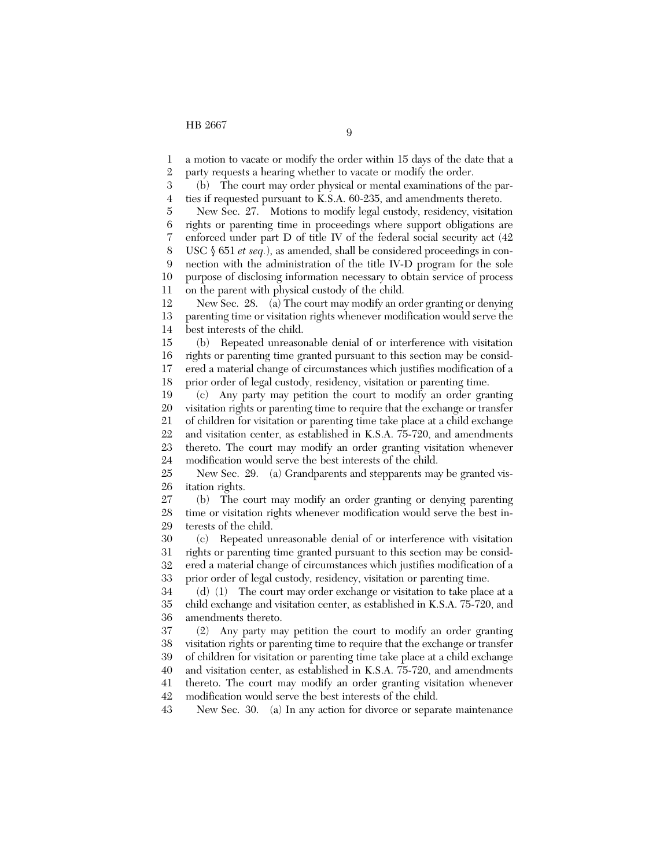1 2 a motion to vacate or modify the order within 15 days of the date that a party requests a hearing whether to vacate or modify the order.

3 4 (b) The court may order physical or mental examinations of the parties if requested pursuant to K.S.A. 60-235, and amendments thereto.

5 6 7 8 9 10 11 New Sec. 27. Motions to modify legal custody, residency, visitation rights or parenting time in proceedings where support obligations are enforced under part D of title IV of the federal social security act (42 USC § 651 *et seq.*), as amended, shall be considered proceedings in connection with the administration of the title IV-D program for the sole purpose of disclosing information necessary to obtain service of process on the parent with physical custody of the child.

12 13 14 New Sec. 28. (a) The court may modify an order granting or denying parenting time or visitation rights whenever modification would serve the best interests of the child.

15 16 17 18 (b) Repeated unreasonable denial of or interference with visitation rights or parenting time granted pursuant to this section may be considered a material change of circumstances which justifies modification of a prior order of legal custody, residency, visitation or parenting time.

19 20 21 22 23 24 (c) Any party may petition the court to modify an order granting visitation rights or parenting time to require that the exchange or transfer of children for visitation or parenting time take place at a child exchange and visitation center, as established in K.S.A. 75-720, and amendments thereto. The court may modify an order granting visitation whenever modification would serve the best interests of the child.

25 26 New Sec. 29. (a) Grandparents and stepparents may be granted visitation rights.

27 28 29 (b) The court may modify an order granting or denying parenting time or visitation rights whenever modification would serve the best interests of the child.

30 31 32 33 (c) Repeated unreasonable denial of or interference with visitation rights or parenting time granted pursuant to this section may be considered a material change of circumstances which justifies modification of a prior order of legal custody, residency, visitation or parenting time.

34 35 36 (d) (1) The court may order exchange or visitation to take place at a child exchange and visitation center, as established in K.S.A. 75-720, and amendments thereto.

37 38 39 40 41 42 (2) Any party may petition the court to modify an order granting visitation rights or parenting time to require that the exchange or transfer of children for visitation or parenting time take place at a child exchange and visitation center, as established in K.S.A. 75-720, and amendments thereto. The court may modify an order granting visitation whenever modification would serve the best interests of the child.

43 New Sec. 30. (a) In any action for divorce or separate maintenance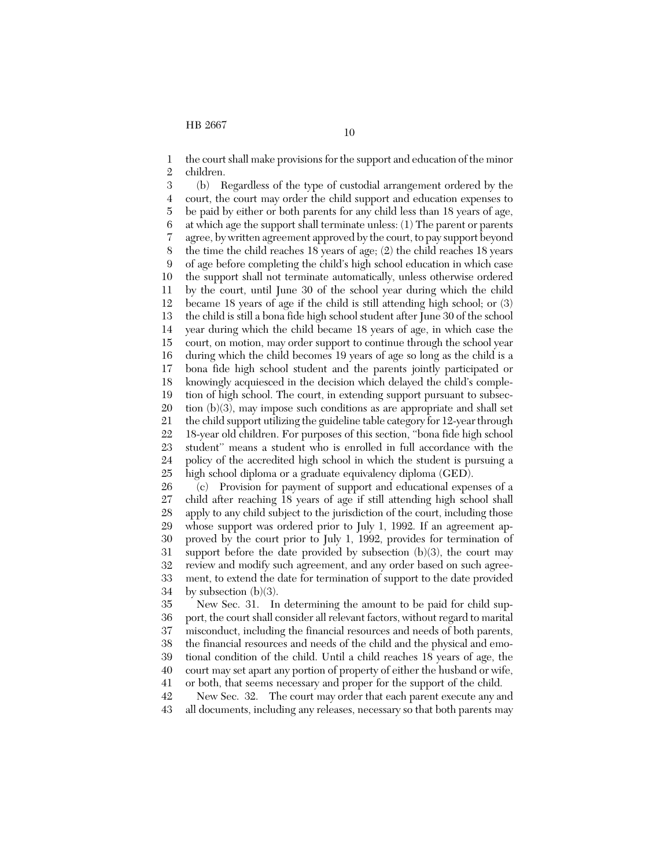1 2 the court shall make provisions for the support and education of the minor children.

3 4 5 6 7 8 9 10 11 12 13 14 15 16 17 18 19 20 21 22 23 24 25 (b) Regardless of the type of custodial arrangement ordered by the court, the court may order the child support and education expenses to be paid by either or both parents for any child less than 18 years of age, at which age the support shall terminate unless: (1) The parent or parents agree, by written agreement approved by the court, to pay support beyond the time the child reaches 18 years of age; (2) the child reaches 18 years of age before completing the child's high school education in which case the support shall not terminate automatically, unless otherwise ordered by the court, until June 30 of the school year during which the child became 18 years of age if the child is still attending high school; or (3) the child is still a bona fide high school student after June 30 of the school year during which the child became 18 years of age, in which case the court, on motion, may order support to continue through the school year during which the child becomes 19 years of age so long as the child is a bona fide high school student and the parents jointly participated or knowingly acquiesced in the decision which delayed the child's completion of high school. The court, in extending support pursuant to subsection (b)(3), may impose such conditions as are appropriate and shall set the child support utilizing the guideline table category for 12-year through 18-year old children. For purposes of this section, ''bona fide high school student'' means a student who is enrolled in full accordance with the policy of the accredited high school in which the student is pursuing a high school diploma or a graduate equivalency diploma (GED).

26 27 28 29 30 31 32 33 34 (c) Provision for payment of support and educational expenses of a child after reaching 18 years of age if still attending high school shall apply to any child subject to the jurisdiction of the court, including those whose support was ordered prior to July 1, 1992. If an agreement approved by the court prior to July 1, 1992, provides for termination of support before the date provided by subsection  $(b)(3)$ , the court may review and modify such agreement, and any order based on such agreement, to extend the date for termination of support to the date provided by subsection  $(b)(3)$ .

35 36 37 38 39 40 41 New Sec. 31. In determining the amount to be paid for child support, the court shall consider all relevant factors, without regard to marital misconduct, including the financial resources and needs of both parents, the financial resources and needs of the child and the physical and emotional condition of the child. Until a child reaches 18 years of age, the court may set apart any portion of property of either the husband or wife, or both, that seems necessary and proper for the support of the child.

42 43 New Sec. 32. The court may order that each parent execute any and all documents, including any releases, necessary so that both parents may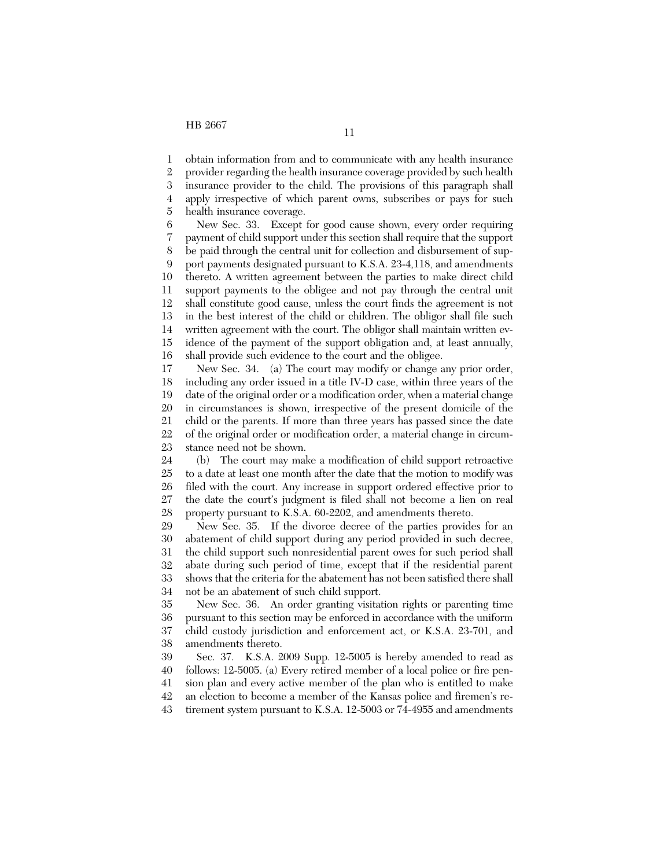1 2 3 4 5 obtain information from and to communicate with any health insurance provider regarding the health insurance coverage provided by such health insurance provider to the child. The provisions of this paragraph shall apply irrespective of which parent owns, subscribes or pays for such health insurance coverage.

6 7 8 9 10 11 12 13 14 15 16 New Sec. 33. Except for good cause shown, every order requiring payment of child support under this section shall require that the support be paid through the central unit for collection and disbursement of support payments designated pursuant to K.S.A. 23-4,118, and amendments thereto. A written agreement between the parties to make direct child support payments to the obligee and not pay through the central unit shall constitute good cause, unless the court finds the agreement is not in the best interest of the child or children. The obligor shall file such written agreement with the court. The obligor shall maintain written evidence of the payment of the support obligation and, at least annually, shall provide such evidence to the court and the obligee.

17 18 19 20 21 22 23 New Sec. 34. (a) The court may modify or change any prior order, including any order issued in a title IV-D case, within three years of the date of the original order or a modification order, when a material change in circumstances is shown, irrespective of the present domicile of the child or the parents. If more than three years has passed since the date of the original order or modification order, a material change in circumstance need not be shown.

24 25 26 27 28 (b) The court may make a modification of child support retroactive to a date at least one month after the date that the motion to modify was filed with the court. Any increase in support ordered effective prior to the date the court's judgment is filed shall not become a lien on real property pursuant to K.S.A. 60-2202, and amendments thereto.

29 30 31 32 33 34 New Sec. 35. If the divorce decree of the parties provides for an abatement of child support during any period provided in such decree, the child support such nonresidential parent owes for such period shall abate during such period of time, except that if the residential parent shows that the criteria for the abatement has not been satisfied there shall not be an abatement of such child support.

35 36 37 38 New Sec. 36. An order granting visitation rights or parenting time pursuant to this section may be enforced in accordance with the uniform child custody jurisdiction and enforcement act, or K.S.A. 23-701, and amendments thereto.

39 40 41 42 Sec. 37. K.S.A. 2009 Supp. 12-5005 is hereby amended to read as follows: 12-5005. (a) Every retired member of a local police or fire pension plan and every active member of the plan who is entitled to make an election to become a member of the Kansas police and firemen's re-

43 tirement system pursuant to K.S.A. 12-5003 or 74-4955 and amendments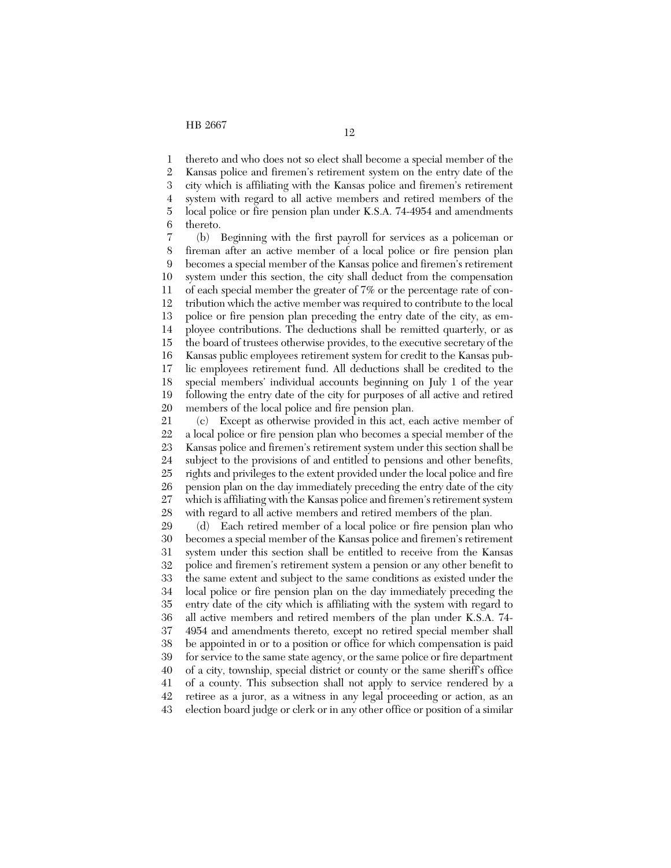1 2 3 4 5 6 thereto and who does not so elect shall become a special member of the Kansas police and firemen's retirement system on the entry date of the city which is affiliating with the Kansas police and firemen's retirement system with regard to all active members and retired members of the local police or fire pension plan under K.S.A. 74-4954 and amendments thereto.

7 8 9 10 11 12 13 14 15 16 17 18 19 20 (b) Beginning with the first payroll for services as a policeman or fireman after an active member of a local police or fire pension plan becomes a special member of the Kansas police and firemen's retirement system under this section, the city shall deduct from the compensation of each special member the greater of 7% or the percentage rate of contribution which the active member was required to contribute to the local police or fire pension plan preceding the entry date of the city, as employee contributions. The deductions shall be remitted quarterly, or as the board of trustees otherwise provides, to the executive secretary of the Kansas public employees retirement system for credit to the Kansas public employees retirement fund. All deductions shall be credited to the special members' individual accounts beginning on July 1 of the year following the entry date of the city for purposes of all active and retired members of the local police and fire pension plan.

21 22 23 24 25 26 27 28 (c) Except as otherwise provided in this act, each active member of a local police or fire pension plan who becomes a special member of the Kansas police and firemen's retirement system under this section shall be subject to the provisions of and entitled to pensions and other benefits, rights and privileges to the extent provided under the local police and fire pension plan on the day immediately preceding the entry date of the city which is affiliating with the Kansas police and firemen's retirement system with regard to all active members and retired members of the plan.

29 30 31 32 33 34 35 36 37 38 39 40 41 42 43 (d) Each retired member of a local police or fire pension plan who becomes a special member of the Kansas police and firemen's retirement system under this section shall be entitled to receive from the Kansas police and firemen's retirement system a pension or any other benefit to the same extent and subject to the same conditions as existed under the local police or fire pension plan on the day immediately preceding the entry date of the city which is affiliating with the system with regard to all active members and retired members of the plan under K.S.A. 74- 4954 and amendments thereto, except no retired special member shall be appointed in or to a position or office for which compensation is paid for service to the same state agency, or the same police or fire department of a city, township, special district or county or the same sheriff's office of a county. This subsection shall not apply to service rendered by a retiree as a juror, as a witness in any legal proceeding or action, as an election board judge or clerk or in any other office or position of a similar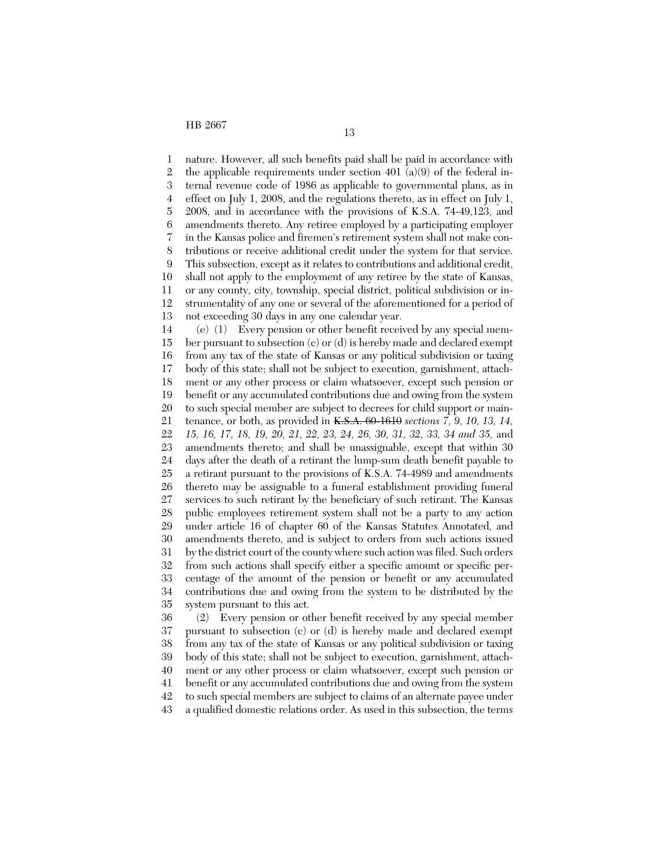1 2 3 4 5 6 7 8 9 10 11 12 13 14 15 16 17 18 19 20 21 22 23 24 25 26 27 28 29 30 31 32 33 34 35 nature. However, all such benefits paid shall be paid in accordance with the applicable requirements under section 401 (a)(9) of the federal internal revenue code of 1986 as applicable to governmental plans, as in effect on July 1, 2008, and the regulations thereto, as in effect on July 1, 2008, and in accordance with the provisions of K.S.A. 74-49,123, and amendments thereto. Any retiree employed by a participating employer in the Kansas police and firemen's retirement system shall not make contributions or receive additional credit under the system for that service. This subsection, except as it relates to contributions and additional credit, shall not apply to the employment of any retiree by the state of Kansas, or any county, city, township, special district, political subdivision or instrumentality of any one or several of the aforementioned for a period of not exceeding 30 days in any one calendar year. (e) (1) Every pension or other benefit received by any special member pursuant to subsection (c) or (d) is hereby made and declared exempt from any tax of the state of Kansas or any political subdivision or taxing body of this state; shall not be subject to execution, garnishment, attachment or any other process or claim whatsoever, except such pension or benefit or any accumulated contributions due and owing from the system to such special member are subject to decrees for child support or maintenance, or both, as provided in K.S.A. 60-1610 *sections 7, 9, 10, 13, 14, 15, 16, 17, 18, 19, 20, 21, 22, 23, 24, 26, 30, 31, 32, 33, 34 and 35,* and amendments thereto; and shall be unassignable, except that within 30 days after the death of a retirant the lump-sum death benefit payable to a retirant pursuant to the provisions of K.S.A. 74-4989 and amendments thereto may be assignable to a funeral establishment providing funeral services to such retirant by the beneficiary of such retirant. The Kansas public employees retirement system shall not be a party to any action under article 16 of chapter 60 of the Kansas Statutes Annotated, and amendments thereto, and is subject to orders from such actions issued by the district court of the county where such action was filed. Such orders from such actions shall specify either a specific amount or specific percentage of the amount of the pension or benefit or any accumulated contributions due and owing from the system to be distributed by the system pursuant to this act.

36 37 38 39 40 41 42 43 (2) Every pension or other benefit received by any special member pursuant to subsection (c) or (d) is hereby made and declared exempt from any tax of the state of Kansas or any political subdivision or taxing body of this state; shall not be subject to execution, garnishment, attachment or any other process or claim whatsoever, except such pension or benefit or any accumulated contributions due and owing from the system to such special members are subject to claims of an alternate payee under a qualified domestic relations order. As used in this subsection, the terms

13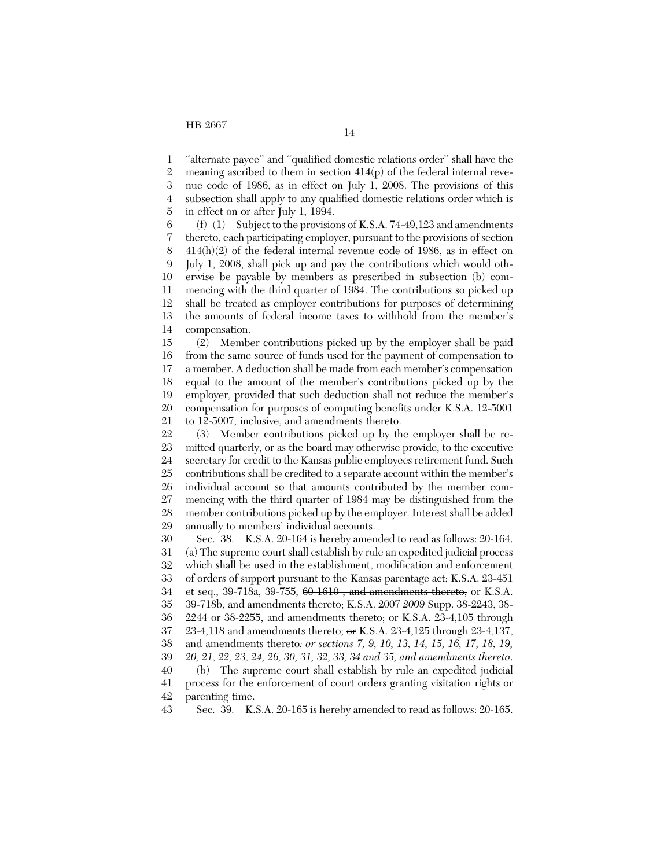1 2 3 4 5 "alternate payee" and "qualified domestic relations order" shall have the meaning ascribed to them in section  $414(p)$  of the federal internal revenue code of 1986, as in effect on July 1, 2008. The provisions of this subsection shall apply to any qualified domestic relations order which is in effect on or after July 1, 1994.

6 7 8 9 10 11 12 13 14 (f)  $(1)$  Subject to the provisions of K.S.A. 74-49,123 and amendments thereto, each participating employer, pursuant to the provisions of section 414(h)(2) of the federal internal revenue code of 1986, as in effect on July 1, 2008, shall pick up and pay the contributions which would otherwise be payable by members as prescribed in subsection (b) commencing with the third quarter of 1984. The contributions so picked up shall be treated as employer contributions for purposes of determining the amounts of federal income taxes to withhold from the member's compensation.

15 16 17 18 19 20 21 (2) Member contributions picked up by the employer shall be paid from the same source of funds used for the payment of compensation to a member. A deduction shall be made from each member's compensation equal to the amount of the member's contributions picked up by the employer, provided that such deduction shall not reduce the member's compensation for purposes of computing benefits under K.S.A. 12-5001 to 12-5007, inclusive, and amendments thereto.

22 23 24 25 26 27 28 29 (3) Member contributions picked up by the employer shall be remitted quarterly, or as the board may otherwise provide, to the executive secretary for credit to the Kansas public employees retirement fund. Such contributions shall be credited to a separate account within the member's individual account so that amounts contributed by the member commencing with the third quarter of 1984 may be distinguished from the member contributions picked up by the employer. Interest shall be added annually to members' individual accounts.

30 31 32 33 34 35 36 37 38 39 40 41 42 Sec. 38. K.S.A. 20-164 is hereby amended to read as follows: 20-164. (a) The supreme court shall establish by rule an expedited judicial process which shall be used in the establishment, modification and enforcement of orders of support pursuant to the Kansas parentage act; K.S.A. 23-451 et seq., 39-718a, 39-755, 60-1610, and amendments thereto, or K.S.A. 39-718b, and amendments thereto; K.S.A. 2007 *2009* Supp. 38-2243, 38- 2244 or 38-2255, and amendments thereto; or K.S.A. 23-4,105 through 23-4,118 and amendments thereto;  $\sigma$  K.S.A. 23-4,125 through 23-4,137, and amendments thereto*; or sections 7, 9, 10, 13, 14, 15, 16, 17, 18, 19, 20, 21, 22, 23, 24, 26, 30, 31, 32, 33, 34 and 35, and amendments thereto*. (b) The supreme court shall establish by rule an expedited judicial process for the enforcement of court orders granting visitation rights or parenting time.

43 Sec. 39. K.S.A. 20-165 is hereby amended to read as follows: 20-165.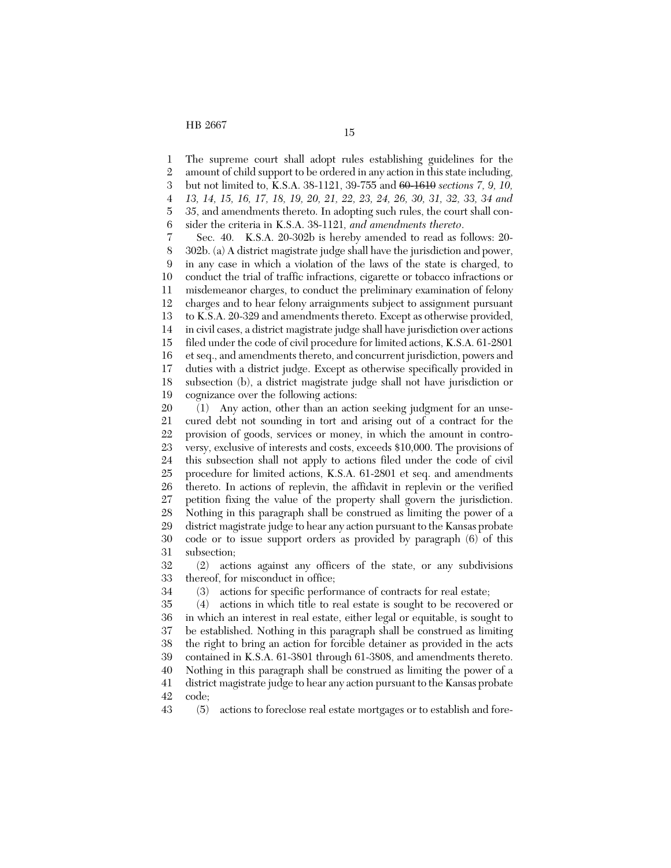HB 2667 15

1 2 3 4 5 6 7 8 9 10 11 12 13 14 15 16 17 18 19 20 The supreme court shall adopt rules establishing guidelines for the amount of child support to be ordered in any action in this state including, but not limited to, K.S.A. 38-1121, 39-755 and 60-1610 *sections 7, 9, 10, 13, 14, 15, 16, 17, 18, 19, 20, 21, 22, 23, 24, 26, 30, 31, 32, 33, 34 and 35*, and amendments thereto. In adopting such rules, the court shall consider the criteria in K.S.A. 38-1121*, and amendments thereto*. Sec. 40. K.S.A. 20-302b is hereby amended to read as follows: 20- 302b. (a) A district magistrate judge shall have the jurisdiction and power, in any case in which a violation of the laws of the state is charged, to conduct the trial of traffic infractions, cigarette or tobacco infractions or misdemeanor charges, to conduct the preliminary examination of felony charges and to hear felony arraignments subject to assignment pursuant to K.S.A. 20-329 and amendments thereto. Except as otherwise provided, in civil cases, a district magistrate judge shall have jurisdiction over actions filed under the code of civil procedure for limited actions, K.S.A. 61-2801 et seq., and amendments thereto, and concurrent jurisdiction, powers and duties with a district judge. Except as otherwise specifically provided in subsection (b), a district magistrate judge shall not have jurisdiction or cognizance over the following actions: (1) Any action, other than an action seeking judgment for an unse-

21 22 23 24 25 26 27 28 29 30 31 cured debt not sounding in tort and arising out of a contract for the provision of goods, services or money, in which the amount in controversy, exclusive of interests and costs, exceeds \$10,000. The provisions of this subsection shall not apply to actions filed under the code of civil procedure for limited actions, K.S.A. 61-2801 et seq. and amendments thereto. In actions of replevin, the affidavit in replevin or the verified petition fixing the value of the property shall govern the jurisdiction. Nothing in this paragraph shall be construed as limiting the power of a district magistrate judge to hear any action pursuant to the Kansas probate code or to issue support orders as provided by paragraph (6) of this subsection;

32 33 (2) actions against any officers of the state, or any subdivisions thereof, for misconduct in office;

34 (3) actions for specific performance of contracts for real estate;

35 36 37 38 39 40 41 42 (4) actions in which title to real estate is sought to be recovered or in which an interest in real estate, either legal or equitable, is sought to be established. Nothing in this paragraph shall be construed as limiting the right to bring an action for forcible detainer as provided in the acts contained in K.S.A. 61-3801 through 61-3808, and amendments thereto. Nothing in this paragraph shall be construed as limiting the power of a district magistrate judge to hear any action pursuant to the Kansas probate code;

43 (5) actions to foreclose real estate mortgages or to establish and fore-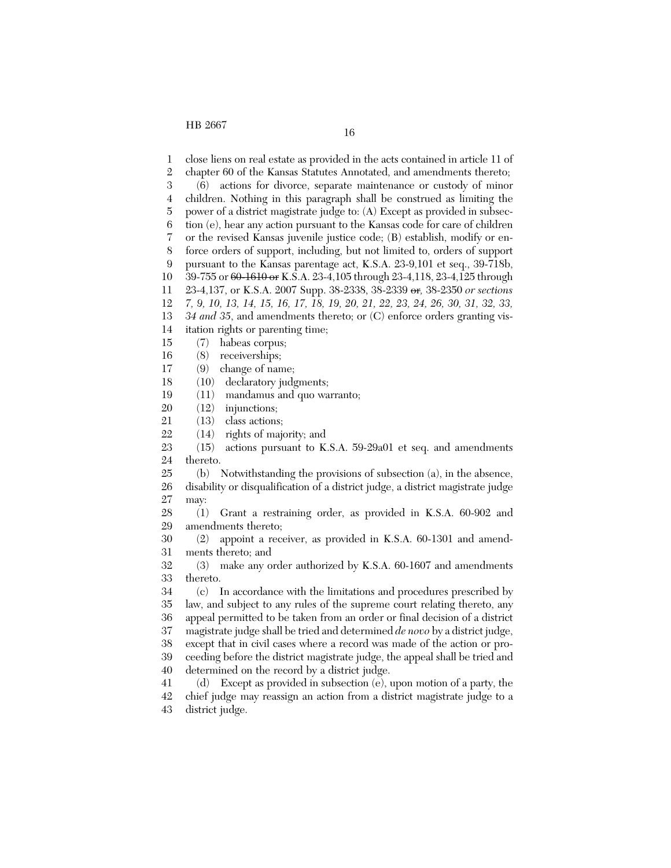1 2 3 4 5 6 7 8 9 10 11 12 13 14 15 16 17 18 19 20 21 22 23 24 25 26 27 28 29 30 31 32 33 34 35 36 37 38 39 close liens on real estate as provided in the acts contained in article 11 of chapter 60 of the Kansas Statutes Annotated, and amendments thereto; (6) actions for divorce, separate maintenance or custody of minor children. Nothing in this paragraph shall be construed as limiting the power of a district magistrate judge to: (A) Except as provided in subsection (e), hear any action pursuant to the Kansas code for care of children or the revised Kansas juvenile justice code; (B) establish, modify or enforce orders of support, including, but not limited to, orders of support pursuant to the Kansas parentage act, K.S.A. 23-9,101 et seq., 39-718b, 39-755 or 60-1610 or K.S.A. 23-4,105 through 23-4,118, 23-4,125 through 23-4,137, or K.S.A. 2007 Supp. 38-2338, 38-2339 or*,* 38-2350 *or sections 7, 9, 10, 13, 14, 15, 16, 17, 18, 19, 20, 21, 22, 23, 24, 26, 30, 31, 32, 33, 34 and 35*, and amendments thereto; or (C) enforce orders granting visitation rights or parenting time; (7) habeas corpus; (8) receiverships; (9) change of name; (10) declaratory judgments; (11) mandamus and quo warranto; (12) injunctions; (13) class actions; (14) rights of majority; and (15) actions pursuant to K.S.A. 59-29a01 et seq. and amendments thereto. (b) Notwithstanding the provisions of subsection (a), in the absence, disability or disqualification of a district judge, a district magistrate judge may: (1) Grant a restraining order, as provided in K.S.A. 60-902 and amendments thereto; (2) appoint a receiver, as provided in K.S.A. 60-1301 and amendments thereto; and (3) make any order authorized by K.S.A. 60-1607 and amendments thereto. (c) In accordance with the limitations and procedures prescribed by law, and subject to any rules of the supreme court relating thereto, any appeal permitted to be taken from an order or final decision of a district magistrate judge shall be tried and determined *de novo* by a district judge, except that in civil cases where a record was made of the action or proceeding before the district magistrate judge, the appeal shall be tried and

40 41 42 determined on the record by a district judge. (d) Except as provided in subsection (e), upon motion of a party, the chief judge may reassign an action from a district magistrate judge to a

43 district judge.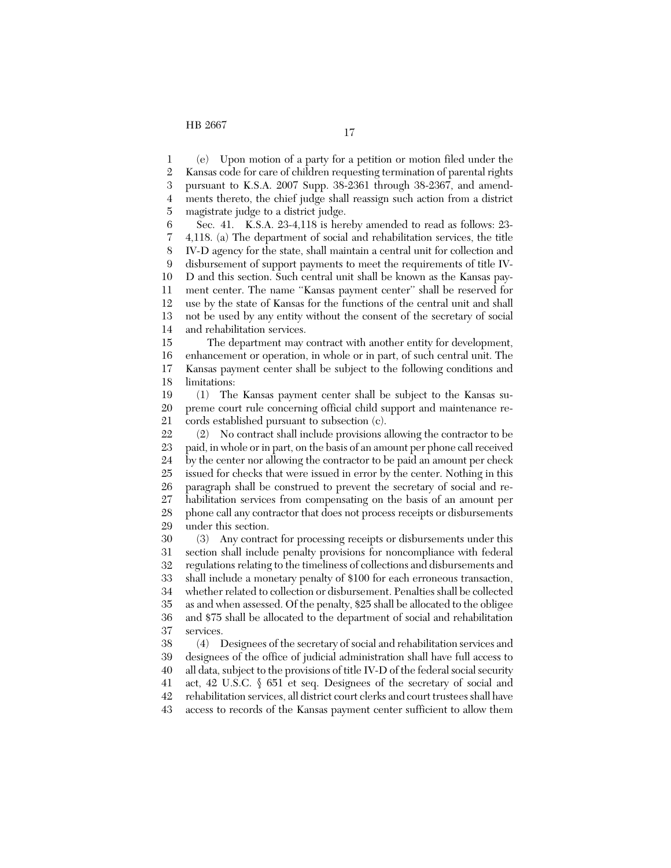1 2 3 4 5 6 (e) Upon motion of a party for a petition or motion filed under the Kansas code for care of children requesting termination of parental rights pursuant to K.S.A. 2007 Supp. 38-2361 through 38-2367, and amendments thereto, the chief judge shall reassign such action from a district magistrate judge to a district judge. Sec. 41. K.S.A. 23-4,118 is hereby amended to read as follows: 23-

7 8 9 10 11 12 13 14 4,118. (a) The department of social and rehabilitation services, the title IV-D agency for the state, shall maintain a central unit for collection and disbursement of support payments to meet the requirements of title IV-D and this section. Such central unit shall be known as the Kansas payment center. The name ''Kansas payment center'' shall be reserved for use by the state of Kansas for the functions of the central unit and shall not be used by any entity without the consent of the secretary of social and rehabilitation services.

15 16 17 18 The department may contract with another entity for development, enhancement or operation, in whole or in part, of such central unit. The Kansas payment center shall be subject to the following conditions and limitations:

19 20 21 (1) The Kansas payment center shall be subject to the Kansas supreme court rule concerning official child support and maintenance records established pursuant to subsection (c).

22 23 24 25 26 27 28 29 (2) No contract shall include provisions allowing the contractor to be paid, in whole or in part, on the basis of an amount per phone call received by the center nor allowing the contractor to be paid an amount per check issued for checks that were issued in error by the center. Nothing in this paragraph shall be construed to prevent the secretary of social and rehabilitation services from compensating on the basis of an amount per phone call any contractor that does not process receipts or disbursements under this section.

30 31 32 33 34 35 36 37 (3) Any contract for processing receipts or disbursements under this section shall include penalty provisions for noncompliance with federal regulations relating to the timeliness of collections and disbursements and shall include a monetary penalty of \$100 for each erroneous transaction, whether related to collection or disbursement. Penalties shall be collected as and when assessed. Of the penalty, \$25 shall be allocated to the obligee and \$75 shall be allocated to the department of social and rehabilitation services.

38 39 40 41 42 43 (4) Designees of the secretary of social and rehabilitation services and designees of the office of judicial administration shall have full access to all data, subject to the provisions of title IV-D of the federal social security act, 42 U.S.C. § 651 et seq. Designees of the secretary of social and rehabilitation services, all district court clerks and court trustees shall have access to records of the Kansas payment center sufficient to allow them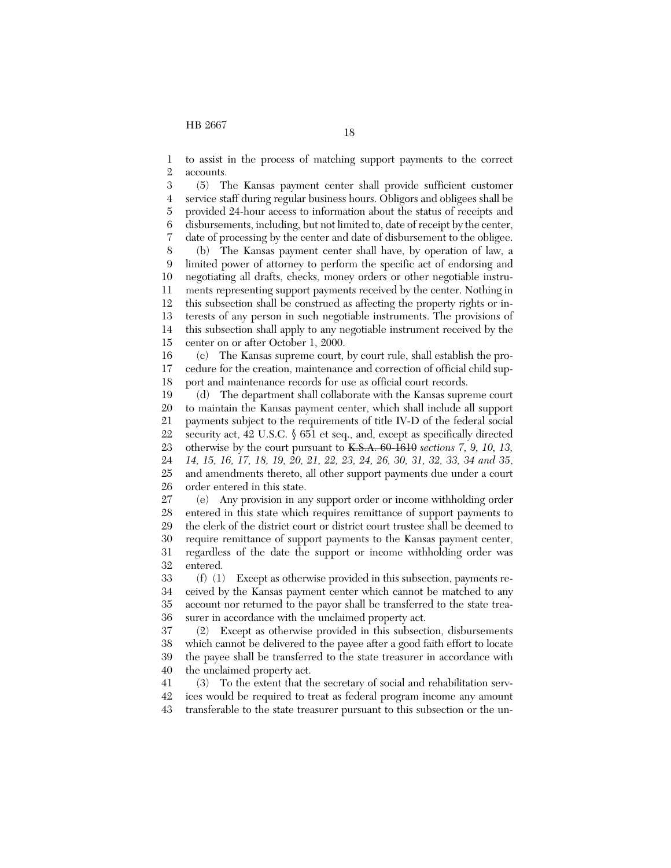1 2 to assist in the process of matching support payments to the correct accounts.

3 4 5 6 7 (5) The Kansas payment center shall provide sufficient customer service staff during regular business hours. Obligors and obligees shall be provided 24-hour access to information about the status of receipts and disbursements, including, but not limited to, date of receipt by the center, date of processing by the center and date of disbursement to the obligee.

8 9 10 11 12 13 14 15 (b) The Kansas payment center shall have, by operation of law, a limited power of attorney to perform the specific act of endorsing and negotiating all drafts, checks, money orders or other negotiable instruments representing support payments received by the center. Nothing in this subsection shall be construed as affecting the property rights or interests of any person in such negotiable instruments. The provisions of this subsection shall apply to any negotiable instrument received by the center on or after October 1, 2000.

16 17 18 (c) The Kansas supreme court, by court rule, shall establish the procedure for the creation, maintenance and correction of official child support and maintenance records for use as official court records.

19 20 21 22 23 24 25 26 (d) The department shall collaborate with the Kansas supreme court to maintain the Kansas payment center, which shall include all support payments subject to the requirements of title IV-D of the federal social security act, 42 U.S.C. § 651 et seq., and, except as specifically directed otherwise by the court pursuant to K.S.A. 60-1610 *sections 7, 9, 10, 13, 14, 15, 16, 17, 18, 19, 20, 21, 22, 23, 24, 26, 30, 31, 32, 33, 34 and 35*, and amendments thereto, all other support payments due under a court order entered in this state.

27 28 29 30 31 32 (e) Any provision in any support order or income withholding order entered in this state which requires remittance of support payments to the clerk of the district court or district court trustee shall be deemed to require remittance of support payments to the Kansas payment center, regardless of the date the support or income withholding order was entered.

33 34 35 36 (f) (1) Except as otherwise provided in this subsection, payments received by the Kansas payment center which cannot be matched to any account nor returned to the payor shall be transferred to the state treasurer in accordance with the unclaimed property act.

37 38 39 40 (2) Except as otherwise provided in this subsection, disbursements which cannot be delivered to the payee after a good faith effort to locate the payee shall be transferred to the state treasurer in accordance with the unclaimed property act.

41 42 43 (3) To the extent that the secretary of social and rehabilitation services would be required to treat as federal program income any amount transferable to the state treasurer pursuant to this subsection or the un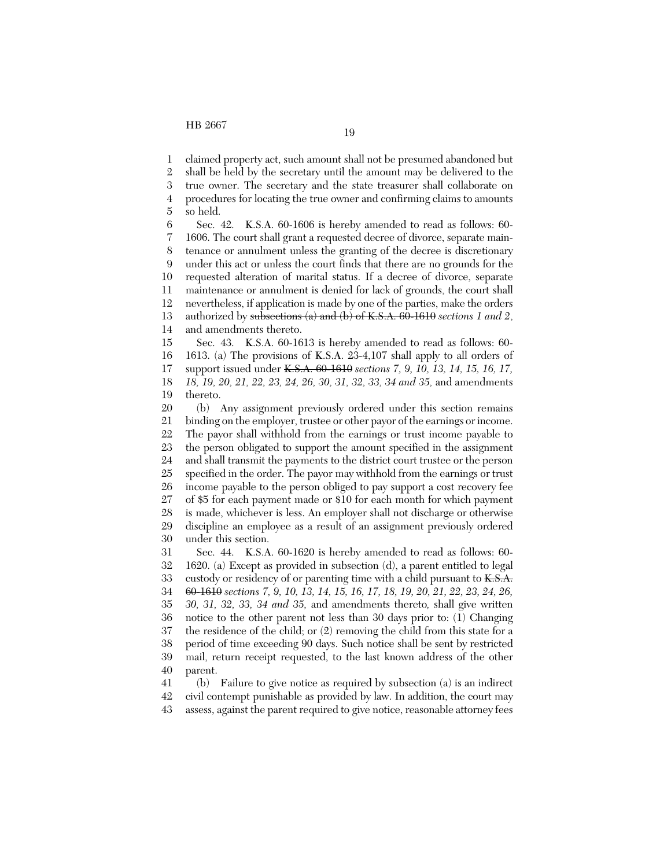1 claimed property act, such amount shall not be presumed abandoned but

2 3 4 shall be held by the secretary until the amount may be delivered to the true owner. The secretary and the state treasurer shall collaborate on procedures for locating the true owner and confirming claims to amounts

5 so held.

6 7 8 9 10 11 12 13 14 Sec. 42. K.S.A. 60-1606 is hereby amended to read as follows: 60- 1606. The court shall grant a requested decree of divorce, separate maintenance or annulment unless the granting of the decree is discretionary under this act or unless the court finds that there are no grounds for the requested alteration of marital status. If a decree of divorce, separate maintenance or annulment is denied for lack of grounds, the court shall nevertheless, if application is made by one of the parties, make the orders authorized by subsections (a) and (b) of K.S.A. 60-1610 *sections 1 and 2*, and amendments thereto.

15 16 17 18 19 Sec. 43. K.S.A. 60-1613 is hereby amended to read as follows: 60- 1613. (a) The provisions of K.S.A. 23-4,107 shall apply to all orders of support issued under K.S.A. 60-1610 *sections 7, 9, 10, 13, 14, 15, 16, 17, 18, 19, 20, 21, 22, 23, 24, 26, 30, 31, 32, 33, 34 and 35,* and amendments thereto.

20 21 22 23 24 25 26 27 28 29 30 31 (b) Any assignment previously ordered under this section remains binding on the employer, trustee or other payor of the earnings or income. The payor shall withhold from the earnings or trust income payable to the person obligated to support the amount specified in the assignment and shall transmit the payments to the district court trustee or the person specified in the order. The payor may withhold from the earnings or trust income payable to the person obliged to pay support a cost recovery fee of \$5 for each payment made or \$10 for each month for which payment is made, whichever is less. An employer shall not discharge or otherwise discipline an employee as a result of an assignment previously ordered under this section. Sec. 44. K.S.A. 60-1620 is hereby amended to read as follows: 60-

32 33 34 35 36 37 38 39 40 1620. (a) Except as provided in subsection (d), a parent entitled to legal custody or residency of or parenting time with a child pursuant to K.S.A. 60-1610 *sections 7, 9, 10, 13, 14, 15, 16, 17, 18, 19, 20, 21, 22, 23, 24, 26, 30, 31, 32, 33, 34 and 35,* and amendments thereto*,* shall give written notice to the other parent not less than 30 days prior to: (1) Changing the residence of the child; or (2) removing the child from this state for a period of time exceeding 90 days. Such notice shall be sent by restricted mail, return receipt requested, to the last known address of the other parent.

41 42 43 (b) Failure to give notice as required by subsection (a) is an indirect civil contempt punishable as provided by law. In addition, the court may assess, against the parent required to give notice, reasonable attorney fees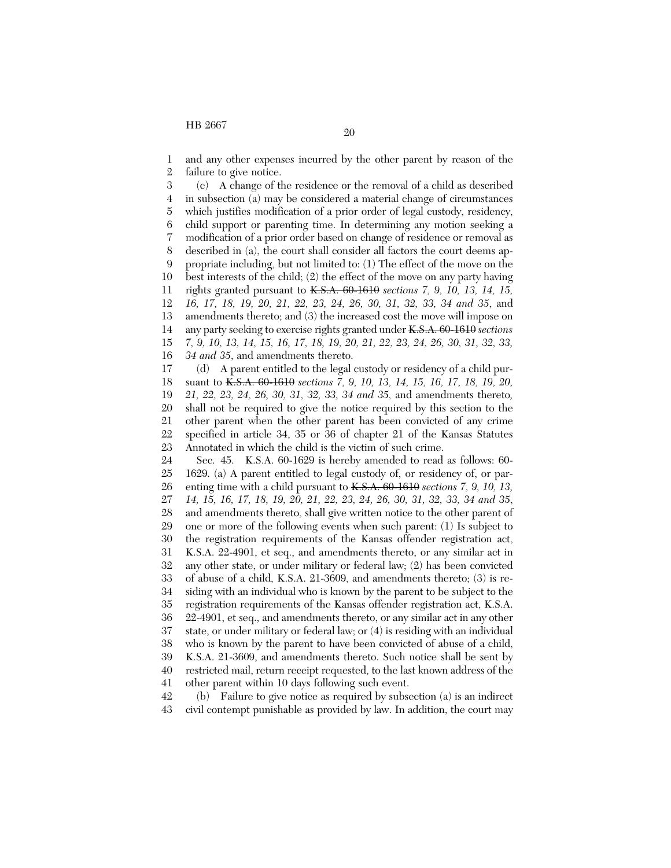1 2 and any other expenses incurred by the other parent by reason of the failure to give notice.

3 4 5 6 7 8 9 10 11 12 13 14 15 16 (c) A change of the residence or the removal of a child as described in subsection (a) may be considered a material change of circumstances which justifies modification of a prior order of legal custody, residency, child support or parenting time. In determining any motion seeking a modification of a prior order based on change of residence or removal as described in (a), the court shall consider all factors the court deems appropriate including, but not limited to: (1) The effect of the move on the best interests of the child; (2) the effect of the move on any party having rights granted pursuant to K.S.A. 60-1610 *sections 7, 9, 10, 13, 14, 15, 16, 17, 18, 19, 20, 21, 22, 23, 24, 26, 30, 31, 32, 33, 34 and 35*, and amendments thereto; and (3) the increased cost the move will impose on any party seeking to exercise rights granted under K.S.A. 60-1610 *sections 7, 9, 10, 13, 14, 15, 16, 17, 18, 19, 20, 21, 22, 23, 24, 26, 30, 31, 32, 33, 34 and 35*, and amendments thereto.

17 18 19 20 21 22 23 (d) A parent entitled to the legal custody or residency of a child pursuant to K.S.A. 60-1610 *sections 7, 9, 10, 13, 14, 15, 16, 17, 18, 19, 20, 21, 22, 23, 24, 26, 30, 31, 32, 33, 34 and 35,* and amendments thereto*,* shall not be required to give the notice required by this section to the other parent when the other parent has been convicted of any crime specified in article 34, 35 or 36 of chapter 21 of the Kansas Statutes Annotated in which the child is the victim of such crime.

24 25 26 27 28 29 30 31 32 33 34 35 36 37 38 39 40 41 Sec. 45. K.S.A. 60-1629 is hereby amended to read as follows: 60- 1629. (a) A parent entitled to legal custody of, or residency of, or parenting time with a child pursuant to K.S.A. 60-1610 *sections 7, 9, 10, 13, 14, 15, 16, 17, 18, 19, 20, 21, 22, 23, 24, 26, 30, 31, 32, 33, 34 and 35*, and amendments thereto, shall give written notice to the other parent of one or more of the following events when such parent: (1) Is subject to the registration requirements of the Kansas offender registration act, K.S.A. 22-4901, et seq., and amendments thereto, or any similar act in any other state, or under military or federal law; (2) has been convicted of abuse of a child, K.S.A. 21-3609, and amendments thereto; (3) is residing with an individual who is known by the parent to be subject to the registration requirements of the Kansas offender registration act, K.S.A. 22-4901, et seq., and amendments thereto, or any similar act in any other state, or under military or federal law; or (4) is residing with an individual who is known by the parent to have been convicted of abuse of a child, K.S.A. 21-3609, and amendments thereto. Such notice shall be sent by restricted mail, return receipt requested, to the last known address of the other parent within 10 days following such event.

42 43 (b) Failure to give notice as required by subsection (a) is an indirect civil contempt punishable as provided by law. In addition, the court may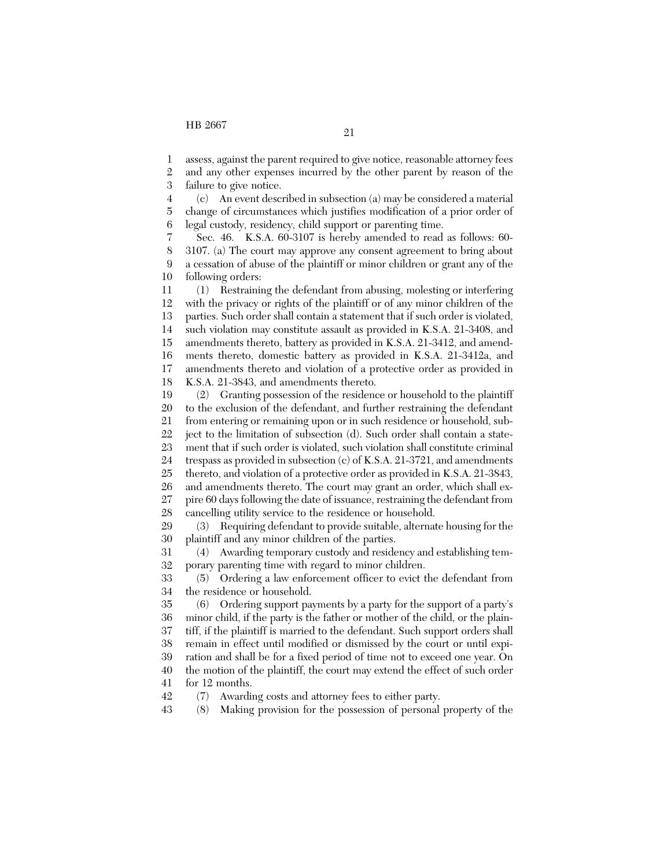1 assess, against the parent required to give notice, reasonable attorney fees

2 3 and any other expenses incurred by the other parent by reason of the failure to give notice.

4 5 6 (c) An event described in subsection (a) may be considered a material change of circumstances which justifies modification of a prior order of legal custody, residency, child support or parenting time.

7 8 9 10 Sec. 46. K.S.A. 60-3107 is hereby amended to read as follows: 60- 3107. (a) The court may approve any consent agreement to bring about a cessation of abuse of the plaintiff or minor children or grant any of the following orders:

11 12 13 14 15 16 17 18 (1) Restraining the defendant from abusing, molesting or interfering with the privacy or rights of the plaintiff or of any minor children of the parties. Such order shall contain a statement that if such order is violated, such violation may constitute assault as provided in K.S.A. 21-3408, and amendments thereto, battery as provided in K.S.A. 21-3412, and amendments thereto, domestic battery as provided in K.S.A. 21-3412a, and amendments thereto and violation of a protective order as provided in K.S.A. 21-3843, and amendments thereto.

19 20 21 22 23 24 25 26 27 28 (2) Granting possession of the residence or household to the plaintiff to the exclusion of the defendant, and further restraining the defendant from entering or remaining upon or in such residence or household, subject to the limitation of subsection (d). Such order shall contain a statement that if such order is violated, such violation shall constitute criminal trespass as provided in subsection (c) of K.S.A. 21-3721, and amendments thereto, and violation of a protective order as provided in K.S.A. 21-3843, and amendments thereto. The court may grant an order, which shall expire 60 days following the date of issuance, restraining the defendant from cancelling utility service to the residence or household.

29 30 (3) Requiring defendant to provide suitable, alternate housing for the plaintiff and any minor children of the parties.

31 32 (4) Awarding temporary custody and residency and establishing temporary parenting time with regard to minor children.

33 34 (5) Ordering a law enforcement officer to evict the defendant from the residence or household.

35 36 37 38 39 40 41 (6) Ordering support payments by a party for the support of a party's minor child, if the party is the father or mother of the child, or the plaintiff, if the plaintiff is married to the defendant. Such support orders shall remain in effect until modified or dismissed by the court or until expiration and shall be for a fixed period of time not to exceed one year. On the motion of the plaintiff, the court may extend the effect of such order for 12 months.

42 (7) Awarding costs and attorney fees to either party.

43 (8) Making provision for the possession of personal property of the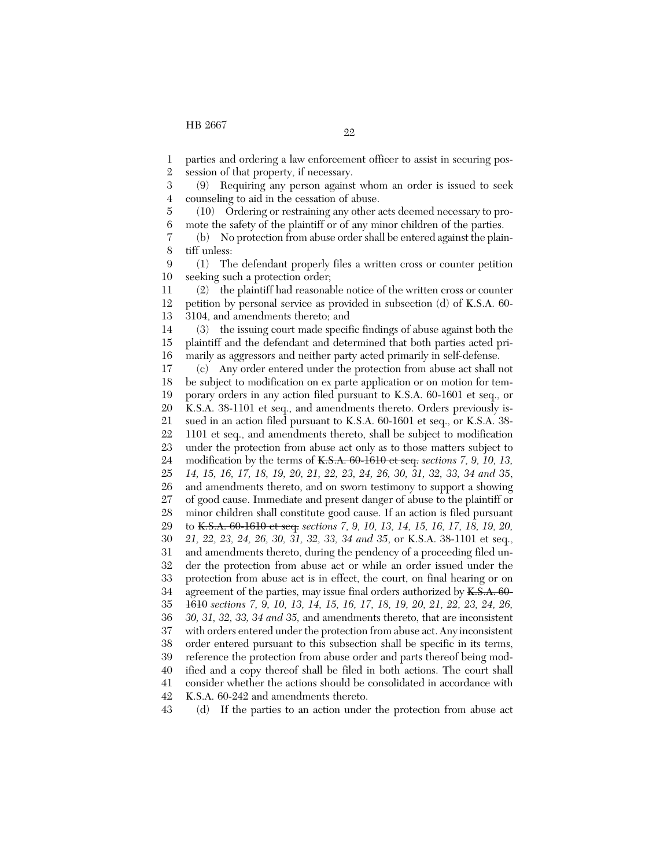7 8

1 parties and ordering a law enforcement officer to assist in securing pos-

2 session of that property, if necessary.

3 4 (9) Requiring any person against whom an order is issued to seek counseling to aid in the cessation of abuse.

5 6 (10) Ordering or restraining any other acts deemed necessary to promote the safety of the plaintiff or of any minor children of the parties.

(b) No protection from abuse order shall be entered against the plaintiff unless:

9 10 (1) The defendant properly files a written cross or counter petition seeking such a protection order;

11 12 13 (2) the plaintiff had reasonable notice of the written cross or counter petition by personal service as provided in subsection (d) of K.S.A. 60- 3104, and amendments thereto; and

14 15 16 (3) the issuing court made specific findings of abuse against both the plaintiff and the defendant and determined that both parties acted primarily as aggressors and neither party acted primarily in self-defense.

17 18 19 20 21 22 23 24 25 26 27 28 29 30 31 32 33 34 35 36 37 38 39 40 41 42 (c) Any order entered under the protection from abuse act shall not be subject to modification on ex parte application or on motion for temporary orders in any action filed pursuant to K.S.A. 60-1601 et seq., or K.S.A. 38-1101 et seq., and amendments thereto. Orders previously issued in an action filed pursuant to K.S.A. 60-1601 et seq., or K.S.A. 38- 1101 et seq., and amendments thereto, shall be subject to modification under the protection from abuse act only as to those matters subject to modification by the terms of K.S.A. 60-1610 et seq. *sections 7, 9, 10, 13, 14, 15, 16, 17, 18, 19, 20, 21, 22, 23, 24, 26, 30, 31, 32, 33, 34 and 35*, and amendments thereto, and on sworn testimony to support a showing of good cause. Immediate and present danger of abuse to the plaintiff or minor children shall constitute good cause. If an action is filed pursuant to K.S.A. 60-1610 et seq. *sections 7, 9, 10, 13, 14, 15, 16, 17, 18, 19, 20, 21, 22, 23, 24, 26, 30, 31, 32, 33, 34 and 35*, or K.S.A. 38-1101 et seq., and amendments thereto, during the pendency of a proceeding filed under the protection from abuse act or while an order issued under the protection from abuse act is in effect, the court, on final hearing or on agreement of the parties, may issue final orders authorized by K.S.A. 60-1610 *sections 7, 9, 10, 13, 14, 15, 16, 17, 18, 19, 20, 21, 22, 23, 24, 26, 30, 31, 32, 33, 34 and 35,* and amendments thereto, that are inconsistent with orders entered under the protection from abuse act. Any inconsistent order entered pursuant to this subsection shall be specific in its terms, reference the protection from abuse order and parts thereof being modified and a copy thereof shall be filed in both actions. The court shall consider whether the actions should be consolidated in accordance with K.S.A. 60-242 and amendments thereto.

43 (d) If the parties to an action under the protection from abuse act